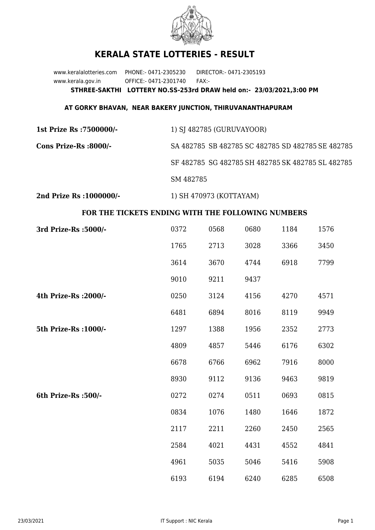

## **KERALA STATE LOTTERIES - RESULT**

www.keralalotteries.com PHONE:- 0471-2305230 DIRECTOR:- 0471-2305193 www.kerala.gov.in OFFICE:- 0471-2301740 FAX:- **STHREE-SAKTHI LOTTERY NO.SS-253rd DRAW held on:- 23/03/2021,3:00 PM**

## **AT GORKY BHAVAN, NEAR BAKERY JUNCTION, THIRUVANANTHAPURAM**

| 1st Prize Rs : 7500000/- | 1) SJ 482785 (GURUVAYOOR)                         |  |  |
|--------------------------|---------------------------------------------------|--|--|
| Cons Prize-Rs :8000/-    | SA 482785 SB 482785 SC 482785 SD 482785 SE 482785 |  |  |
|                          | SF 482785 SG 482785 SH 482785 SK 482785 SL 482785 |  |  |
|                          | SM 482785                                         |  |  |
|                          |                                                   |  |  |

**2nd Prize Rs :1000000/-** 1) SH 470973 (KOTTAYAM)

## **FOR THE TICKETS ENDING WITH THE FOLLOWING NUMBERS**

| 3rd Prize-Rs : 5000/- | 0372 | 0568 | 0680 | 1184 | 1576 |
|-----------------------|------|------|------|------|------|
|                       | 1765 | 2713 | 3028 | 3366 | 3450 |
|                       | 3614 | 3670 | 4744 | 6918 | 7799 |
|                       | 9010 | 9211 | 9437 |      |      |
| 4th Prize-Rs : 2000/- | 0250 | 3124 | 4156 | 4270 | 4571 |
|                       | 6481 | 6894 | 8016 | 8119 | 9949 |
| 5th Prize-Rs : 1000/- | 1297 | 1388 | 1956 | 2352 | 2773 |
|                       | 4809 | 4857 | 5446 | 6176 | 6302 |
|                       | 6678 | 6766 | 6962 | 7916 | 8000 |
|                       | 8930 | 9112 | 9136 | 9463 | 9819 |
| 6th Prize-Rs :500/-   | 0272 | 0274 | 0511 | 0693 | 0815 |
|                       | 0834 | 1076 | 1480 | 1646 | 1872 |
|                       | 2117 | 2211 | 2260 | 2450 | 2565 |
|                       | 2584 | 4021 | 4431 | 4552 | 4841 |
|                       | 4961 | 5035 | 5046 | 5416 | 5908 |
|                       | 6193 | 6194 | 6240 | 6285 | 6508 |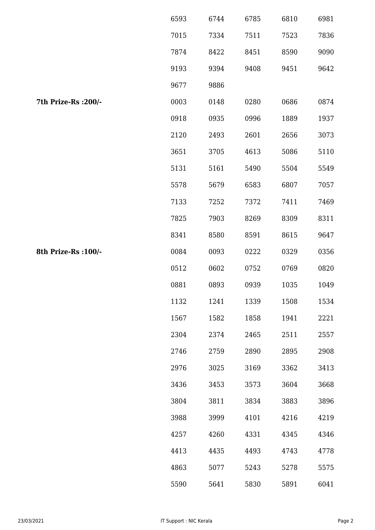|                      | 6593 | 6744 | 6785 | 6810 | 6981 |
|----------------------|------|------|------|------|------|
|                      | 7015 | 7334 | 7511 | 7523 | 7836 |
|                      | 7874 | 8422 | 8451 | 8590 | 9090 |
|                      | 9193 | 9394 | 9408 | 9451 | 9642 |
|                      | 9677 | 9886 |      |      |      |
| 7th Prize-Rs : 200/- | 0003 | 0148 | 0280 | 0686 | 0874 |
|                      | 0918 | 0935 | 0996 | 1889 | 1937 |
|                      | 2120 | 2493 | 2601 | 2656 | 3073 |
|                      | 3651 | 3705 | 4613 | 5086 | 5110 |
|                      | 5131 | 5161 | 5490 | 5504 | 5549 |
|                      | 5578 | 5679 | 6583 | 6807 | 7057 |
|                      | 7133 | 7252 | 7372 | 7411 | 7469 |
|                      | 7825 | 7903 | 8269 | 8309 | 8311 |
|                      | 8341 | 8580 | 8591 | 8615 | 9647 |
| 8th Prize-Rs : 100/- | 0084 | 0093 | 0222 | 0329 | 0356 |
|                      | 0512 | 0602 | 0752 | 0769 | 0820 |
|                      | 0881 | 0893 | 0939 | 1035 | 1049 |
|                      | 1132 | 1241 | 1339 | 1508 | 1534 |
|                      | 1567 | 1582 | 1858 | 1941 | 2221 |
|                      | 2304 | 2374 | 2465 | 2511 | 2557 |
|                      | 2746 | 2759 | 2890 | 2895 | 2908 |
|                      | 2976 | 3025 | 3169 | 3362 | 3413 |
|                      | 3436 | 3453 | 3573 | 3604 | 3668 |
|                      | 3804 | 3811 | 3834 | 3883 | 3896 |
|                      | 3988 | 3999 | 4101 | 4216 | 4219 |
|                      | 4257 | 4260 | 4331 | 4345 | 4346 |
|                      | 4413 | 4435 | 4493 | 4743 | 4778 |
|                      | 4863 | 5077 | 5243 | 5278 | 5575 |
|                      | 5590 | 5641 | 5830 | 5891 | 6041 |